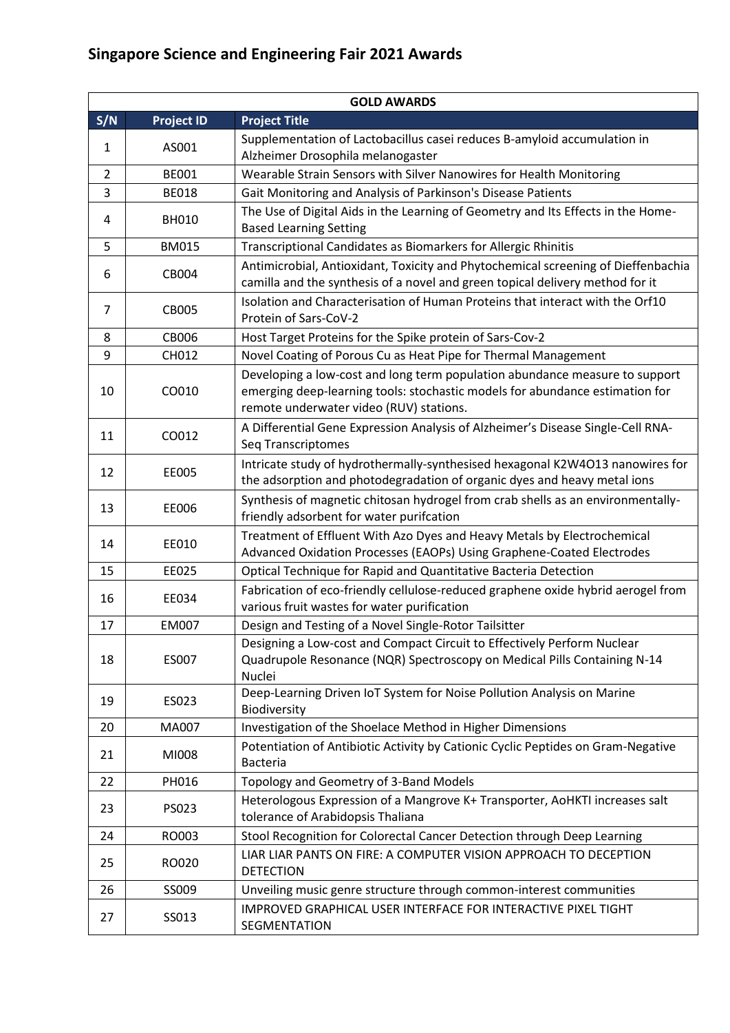|                | <b>GOLD AWARDS</b> |                                                                                                                                                                                                        |  |  |  |
|----------------|--------------------|--------------------------------------------------------------------------------------------------------------------------------------------------------------------------------------------------------|--|--|--|
| S/N            | <b>Project ID</b>  | <b>Project Title</b>                                                                                                                                                                                   |  |  |  |
| 1              | AS001              | Supplementation of Lactobacillus casei reduces B-amyloid accumulation in<br>Alzheimer Drosophila melanogaster                                                                                          |  |  |  |
| $\overline{2}$ | <b>BE001</b>       | Wearable Strain Sensors with Silver Nanowires for Health Monitoring                                                                                                                                    |  |  |  |
| 3              | <b>BE018</b>       | Gait Monitoring and Analysis of Parkinson's Disease Patients                                                                                                                                           |  |  |  |
| 4              | <b>BH010</b>       | The Use of Digital Aids in the Learning of Geometry and Its Effects in the Home-<br><b>Based Learning Setting</b>                                                                                      |  |  |  |
| 5              | <b>BM015</b>       | Transcriptional Candidates as Biomarkers for Allergic Rhinitis                                                                                                                                         |  |  |  |
| 6              | CB004              | Antimicrobial, Antioxidant, Toxicity and Phytochemical screening of Dieffenbachia<br>camilla and the synthesis of a novel and green topical delivery method for it                                     |  |  |  |
| $\overline{7}$ | <b>CB005</b>       | Isolation and Characterisation of Human Proteins that interact with the Orf10<br>Protein of Sars-CoV-2                                                                                                 |  |  |  |
| 8              | <b>CB006</b>       | Host Target Proteins for the Spike protein of Sars-Cov-2                                                                                                                                               |  |  |  |
| 9              | CH012              | Novel Coating of Porous Cu as Heat Pipe for Thermal Management                                                                                                                                         |  |  |  |
| 10             | CO010              | Developing a low-cost and long term population abundance measure to support<br>emerging deep-learning tools: stochastic models for abundance estimation for<br>remote underwater video (RUV) stations. |  |  |  |
| 11             | CO012              | A Differential Gene Expression Analysis of Alzheimer's Disease Single-Cell RNA-<br>Seq Transcriptomes                                                                                                  |  |  |  |
| 12             | EE005              | Intricate study of hydrothermally-synthesised hexagonal K2W4O13 nanowires for<br>the adsorption and photodegradation of organic dyes and heavy metal ions                                              |  |  |  |
| 13             | EE006              | Synthesis of magnetic chitosan hydrogel from crab shells as an environmentally-<br>friendly adsorbent for water purifcation                                                                            |  |  |  |
| 14             | EE010              | Treatment of Effluent With Azo Dyes and Heavy Metals by Electrochemical<br>Advanced Oxidation Processes (EAOPs) Using Graphene-Coated Electrodes                                                       |  |  |  |
| 15             | EE025              | Optical Technique for Rapid and Quantitative Bacteria Detection                                                                                                                                        |  |  |  |
| 16             | EE034              | Fabrication of eco-friendly cellulose-reduced graphene oxide hybrid aerogel from<br>various fruit wastes for water purification                                                                        |  |  |  |
| 17             | <b>EM007</b>       | Design and Testing of a Novel Single-Rotor Tailsitter                                                                                                                                                  |  |  |  |
| 18             | ES007              | Designing a Low-cost and Compact Circuit to Effectively Perform Nuclear<br>Quadrupole Resonance (NQR) Spectroscopy on Medical Pills Containing N-14<br>Nuclei                                          |  |  |  |
| 19             | ES023              | Deep-Learning Driven IoT System for Noise Pollution Analysis on Marine<br>Biodiversity                                                                                                                 |  |  |  |
| 20             | MA007              | Investigation of the Shoelace Method in Higher Dimensions                                                                                                                                              |  |  |  |
| 21             | MI008              | Potentiation of Antibiotic Activity by Cationic Cyclic Peptides on Gram-Negative<br><b>Bacteria</b>                                                                                                    |  |  |  |
| 22             | PH016              | Topology and Geometry of 3-Band Models                                                                                                                                                                 |  |  |  |
| 23             | PS023              | Heterologous Expression of a Mangrove K+ Transporter, AoHKTI increases salt<br>tolerance of Arabidopsis Thaliana                                                                                       |  |  |  |
| 24             | RO003              | Stool Recognition for Colorectal Cancer Detection through Deep Learning                                                                                                                                |  |  |  |
| 25             | RO020              | LIAR LIAR PANTS ON FIRE: A COMPUTER VISION APPROACH TO DECEPTION<br><b>DETECTION</b>                                                                                                                   |  |  |  |
| 26             | SS009              | Unveiling music genre structure through common-interest communities                                                                                                                                    |  |  |  |
| 27             | SS013              | IMPROVED GRAPHICAL USER INTERFACE FOR INTERACTIVE PIXEL TIGHT<br>SEGMENTATION                                                                                                                          |  |  |  |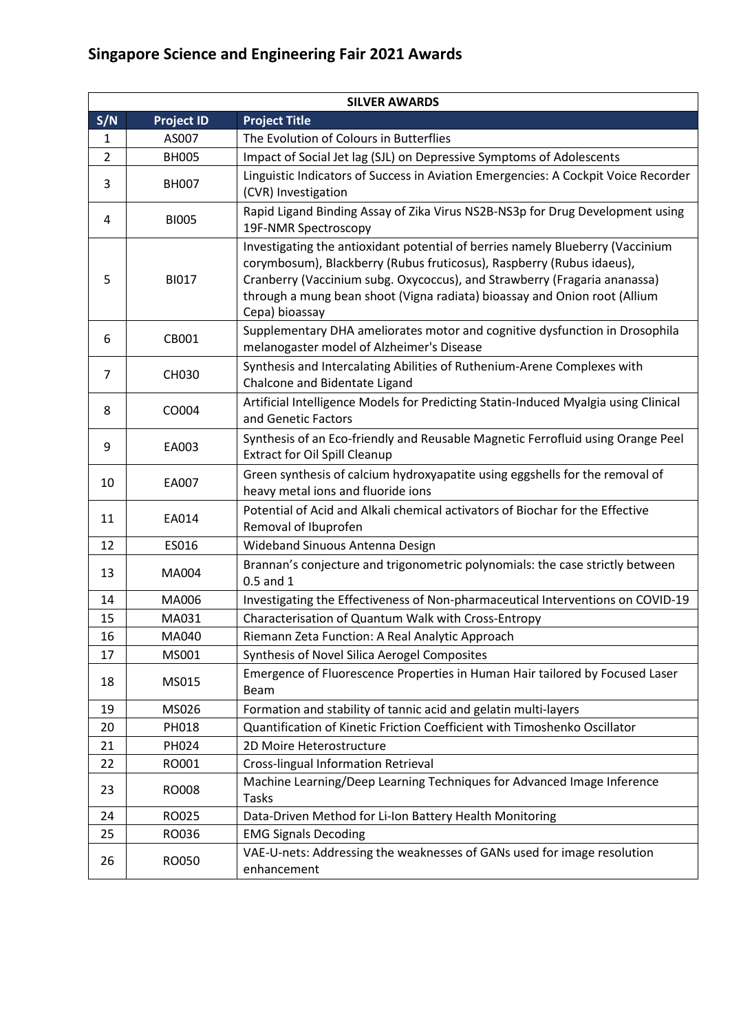| <b>SILVER AWARDS</b> |                                                                                                 |                                                                                                                                                                                                                                                                                                                                     |  |  |  |
|----------------------|-------------------------------------------------------------------------------------------------|-------------------------------------------------------------------------------------------------------------------------------------------------------------------------------------------------------------------------------------------------------------------------------------------------------------------------------------|--|--|--|
| S/N                  | <b>Project ID</b>                                                                               | <b>Project Title</b>                                                                                                                                                                                                                                                                                                                |  |  |  |
| 1                    | AS007                                                                                           | The Evolution of Colours in Butterflies                                                                                                                                                                                                                                                                                             |  |  |  |
| 2                    | <b>BH005</b>                                                                                    | Impact of Social Jet lag (SJL) on Depressive Symptoms of Adolescents                                                                                                                                                                                                                                                                |  |  |  |
| 3                    | <b>BH007</b>                                                                                    | Linguistic Indicators of Success in Aviation Emergencies: A Cockpit Voice Recorder<br>(CVR) Investigation                                                                                                                                                                                                                           |  |  |  |
| 4                    | <b>BI005</b>                                                                                    | Rapid Ligand Binding Assay of Zika Virus NS2B-NS3p for Drug Development using<br>19F-NMR Spectroscopy                                                                                                                                                                                                                               |  |  |  |
| 5                    | <b>BI017</b>                                                                                    | Investigating the antioxidant potential of berries namely Blueberry (Vaccinium<br>corymbosum), Blackberry (Rubus fruticosus), Raspberry (Rubus idaeus),<br>Cranberry (Vaccinium subg. Oxycoccus), and Strawberry (Fragaria ananassa)<br>through a mung bean shoot (Vigna radiata) bioassay and Onion root (Allium<br>Cepa) bioassay |  |  |  |
| 6                    | CB001                                                                                           | Supplementary DHA ameliorates motor and cognitive dysfunction in Drosophila<br>melanogaster model of Alzheimer's Disease                                                                                                                                                                                                            |  |  |  |
| 7                    | CH030                                                                                           | Synthesis and Intercalating Abilities of Ruthenium-Arene Complexes with<br>Chalcone and Bidentate Ligand                                                                                                                                                                                                                            |  |  |  |
| 8                    | CO004                                                                                           | Artificial Intelligence Models for Predicting Statin-Induced Myalgia using Clinical<br>and Genetic Factors                                                                                                                                                                                                                          |  |  |  |
| 9                    | EA003                                                                                           | Synthesis of an Eco-friendly and Reusable Magnetic Ferrofluid using Orange Peel<br><b>Extract for Oil Spill Cleanup</b>                                                                                                                                                                                                             |  |  |  |
| 10                   | EA007                                                                                           | Green synthesis of calcium hydroxyapatite using eggshells for the removal of<br>heavy metal ions and fluoride ions                                                                                                                                                                                                                  |  |  |  |
| 11                   | EA014                                                                                           | Potential of Acid and Alkali chemical activators of Biochar for the Effective<br>Removal of Ibuprofen                                                                                                                                                                                                                               |  |  |  |
| 12                   | ES016                                                                                           | Wideband Sinuous Antenna Design                                                                                                                                                                                                                                                                                                     |  |  |  |
| 13                   | MA004                                                                                           | Brannan's conjecture and trigonometric polynomials: the case strictly between<br>$0.5$ and $1$                                                                                                                                                                                                                                      |  |  |  |
| 14                   | MA006                                                                                           | Investigating the Effectiveness of Non-pharmaceutical Interventions on COVID-19                                                                                                                                                                                                                                                     |  |  |  |
| 15                   | MA031                                                                                           | Characterisation of Quantum Walk with Cross-Entropy                                                                                                                                                                                                                                                                                 |  |  |  |
| 16                   | MA040                                                                                           | Riemann Zeta Function: A Real Analytic Approach                                                                                                                                                                                                                                                                                     |  |  |  |
| 17                   | MS001                                                                                           | Synthesis of Novel Silica Aerogel Composites                                                                                                                                                                                                                                                                                        |  |  |  |
| 18                   | MS015                                                                                           | Emergence of Fluorescence Properties in Human Hair tailored by Focused Laser<br>Beam                                                                                                                                                                                                                                                |  |  |  |
| 19                   | MS026                                                                                           | Formation and stability of tannic acid and gelatin multi-layers                                                                                                                                                                                                                                                                     |  |  |  |
| 20                   | PH018                                                                                           | Quantification of Kinetic Friction Coefficient with Timoshenko Oscillator                                                                                                                                                                                                                                                           |  |  |  |
| 21                   | PH024                                                                                           | 2D Moire Heterostructure                                                                                                                                                                                                                                                                                                            |  |  |  |
| 22                   | RO001                                                                                           | Cross-lingual Information Retrieval                                                                                                                                                                                                                                                                                                 |  |  |  |
| 23                   | RO008                                                                                           | Machine Learning/Deep Learning Techniques for Advanced Image Inference<br>Tasks                                                                                                                                                                                                                                                     |  |  |  |
| 24                   | RO025                                                                                           | Data-Driven Method for Li-Ion Battery Health Monitoring                                                                                                                                                                                                                                                                             |  |  |  |
| 25                   | RO036                                                                                           | <b>EMG Signals Decoding</b>                                                                                                                                                                                                                                                                                                         |  |  |  |
| 26                   | VAE-U-nets: Addressing the weaknesses of GANs used for image resolution<br>RO050<br>enhancement |                                                                                                                                                                                                                                                                                                                                     |  |  |  |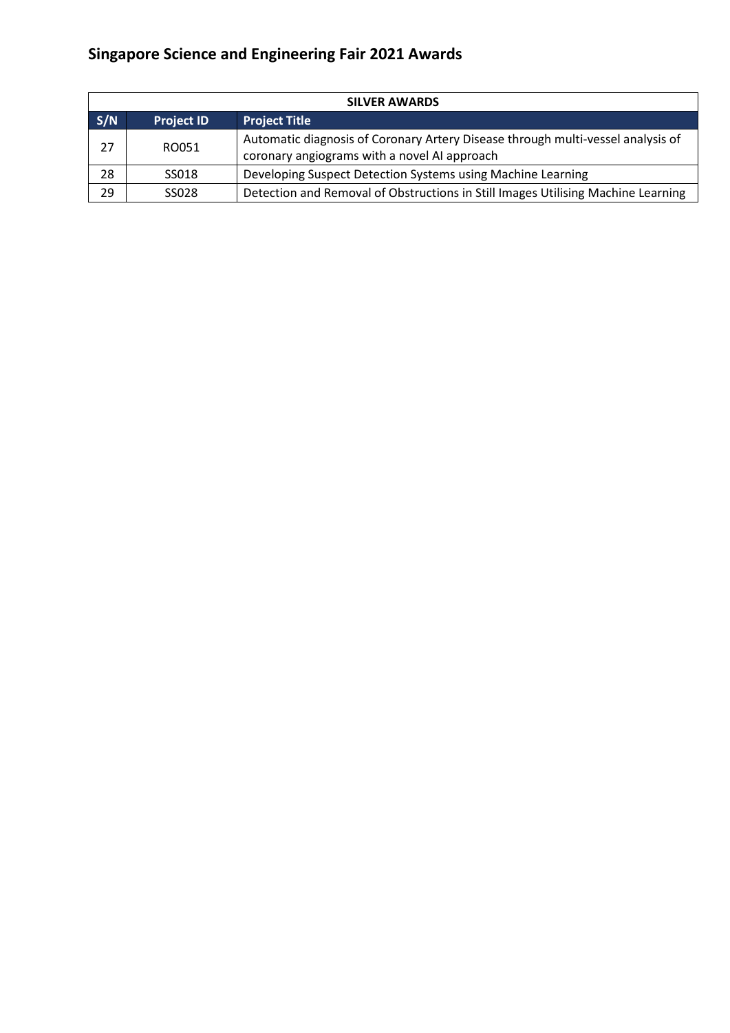| <b>SILVER AWARDS</b>                             |       |                                                                                                                                 |  |
|--------------------------------------------------|-------|---------------------------------------------------------------------------------------------------------------------------------|--|
| S/N<br><b>Project Title</b><br><b>Project ID</b> |       |                                                                                                                                 |  |
| 27                                               | RO051 | Automatic diagnosis of Coronary Artery Disease through multi-vessel analysis of<br>coronary angiograms with a novel AI approach |  |
| 28                                               | SS018 | Developing Suspect Detection Systems using Machine Learning                                                                     |  |
| 29                                               | SS028 | Detection and Removal of Obstructions in Still Images Utilising Machine Learning                                                |  |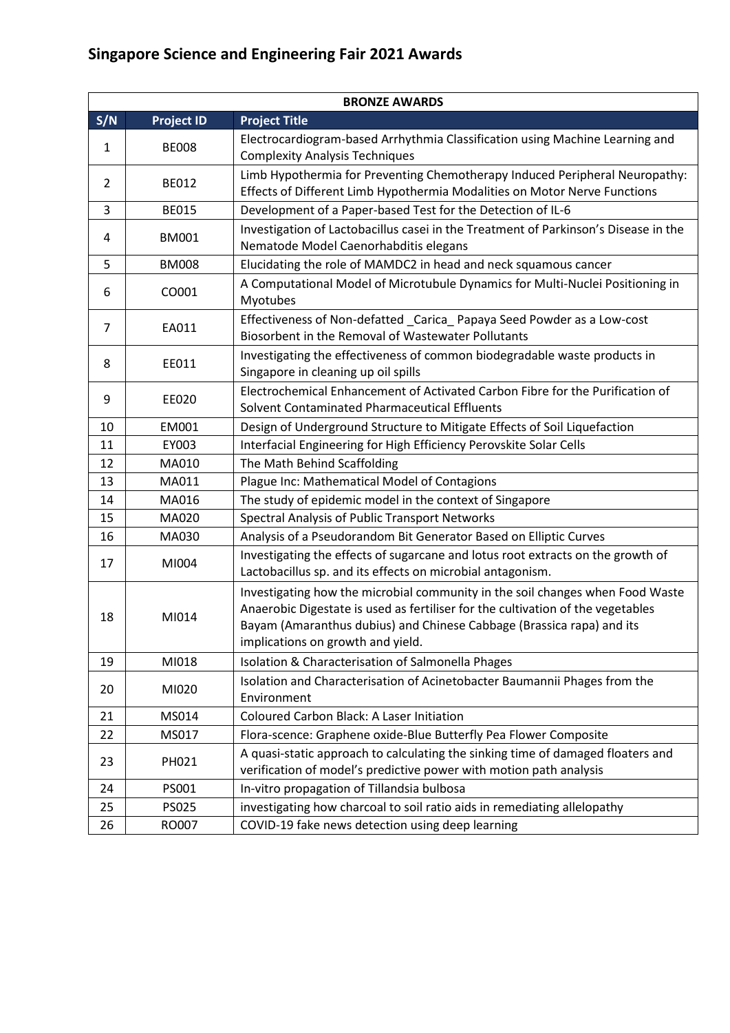| <b>BRONZE AWARDS</b> |                   |                                                                                                                                                                                                                                                                                |  |  |
|----------------------|-------------------|--------------------------------------------------------------------------------------------------------------------------------------------------------------------------------------------------------------------------------------------------------------------------------|--|--|
| S/N                  | <b>Project ID</b> | <b>Project Title</b>                                                                                                                                                                                                                                                           |  |  |
| 1                    | <b>BE008</b>      | Electrocardiogram-based Arrhythmia Classification using Machine Learning and<br><b>Complexity Analysis Techniques</b>                                                                                                                                                          |  |  |
| $\overline{2}$       | <b>BE012</b>      | Limb Hypothermia for Preventing Chemotherapy Induced Peripheral Neuropathy:<br>Effects of Different Limb Hypothermia Modalities on Motor Nerve Functions                                                                                                                       |  |  |
| 3                    | <b>BE015</b>      | Development of a Paper-based Test for the Detection of IL-6                                                                                                                                                                                                                    |  |  |
| 4                    | <b>BM001</b>      | Investigation of Lactobacillus casei in the Treatment of Parkinson's Disease in the<br>Nematode Model Caenorhabditis elegans                                                                                                                                                   |  |  |
| 5                    | <b>BM008</b>      | Elucidating the role of MAMDC2 in head and neck squamous cancer                                                                                                                                                                                                                |  |  |
| 6                    | CO001             | A Computational Model of Microtubule Dynamics for Multi-Nuclei Positioning in<br>Myotubes                                                                                                                                                                                      |  |  |
| 7                    | EA011             | Effectiveness of Non-defatted _Carica_Papaya Seed Powder as a Low-cost<br>Biosorbent in the Removal of Wastewater Pollutants                                                                                                                                                   |  |  |
| 8                    | EE011             | Investigating the effectiveness of common biodegradable waste products in<br>Singapore in cleaning up oil spills                                                                                                                                                               |  |  |
| 9                    | EE020             | Electrochemical Enhancement of Activated Carbon Fibre for the Purification of<br>Solvent Contaminated Pharmaceutical Effluents                                                                                                                                                 |  |  |
| 10                   | EM001             | Design of Underground Structure to Mitigate Effects of Soil Liquefaction                                                                                                                                                                                                       |  |  |
| 11                   | EY003             | Interfacial Engineering for High Efficiency Perovskite Solar Cells                                                                                                                                                                                                             |  |  |
| 12                   | MA010             | The Math Behind Scaffolding                                                                                                                                                                                                                                                    |  |  |
| 13                   | MA011             | Plague Inc: Mathematical Model of Contagions                                                                                                                                                                                                                                   |  |  |
| 14                   | MA016             | The study of epidemic model in the context of Singapore                                                                                                                                                                                                                        |  |  |
| 15                   | MA020             | Spectral Analysis of Public Transport Networks                                                                                                                                                                                                                                 |  |  |
| 16                   | MA030             | Analysis of a Pseudorandom Bit Generator Based on Elliptic Curves                                                                                                                                                                                                              |  |  |
| 17                   | MI004             | Investigating the effects of sugarcane and lotus root extracts on the growth of<br>Lactobacillus sp. and its effects on microbial antagonism.                                                                                                                                  |  |  |
| 18                   | MI014             | Investigating how the microbial community in the soil changes when Food Waste<br>Anaerobic Digestate is used as fertiliser for the cultivation of the vegetables<br>Bayam (Amaranthus dubius) and Chinese Cabbage (Brassica rapa) and its<br>implications on growth and yield. |  |  |
| 19                   | MI018             | Isolation & Characterisation of Salmonella Phages                                                                                                                                                                                                                              |  |  |
| 20                   | MI020             | Isolation and Characterisation of Acinetobacter Baumannii Phages from the<br>Environment                                                                                                                                                                                       |  |  |
| 21                   | MS014             | Coloured Carbon Black: A Laser Initiation                                                                                                                                                                                                                                      |  |  |
| 22                   | MS017             | Flora-scence: Graphene oxide-Blue Butterfly Pea Flower Composite                                                                                                                                                                                                               |  |  |
| 23                   | PH021             | A quasi-static approach to calculating the sinking time of damaged floaters and<br>verification of model's predictive power with motion path analysis                                                                                                                          |  |  |
| 24                   | PS001             | In-vitro propagation of Tillandsia bulbosa                                                                                                                                                                                                                                     |  |  |
| 25                   | <b>PS025</b>      | investigating how charcoal to soil ratio aids in remediating allelopathy                                                                                                                                                                                                       |  |  |
| 26                   | RO007             | COVID-19 fake news detection using deep learning                                                                                                                                                                                                                               |  |  |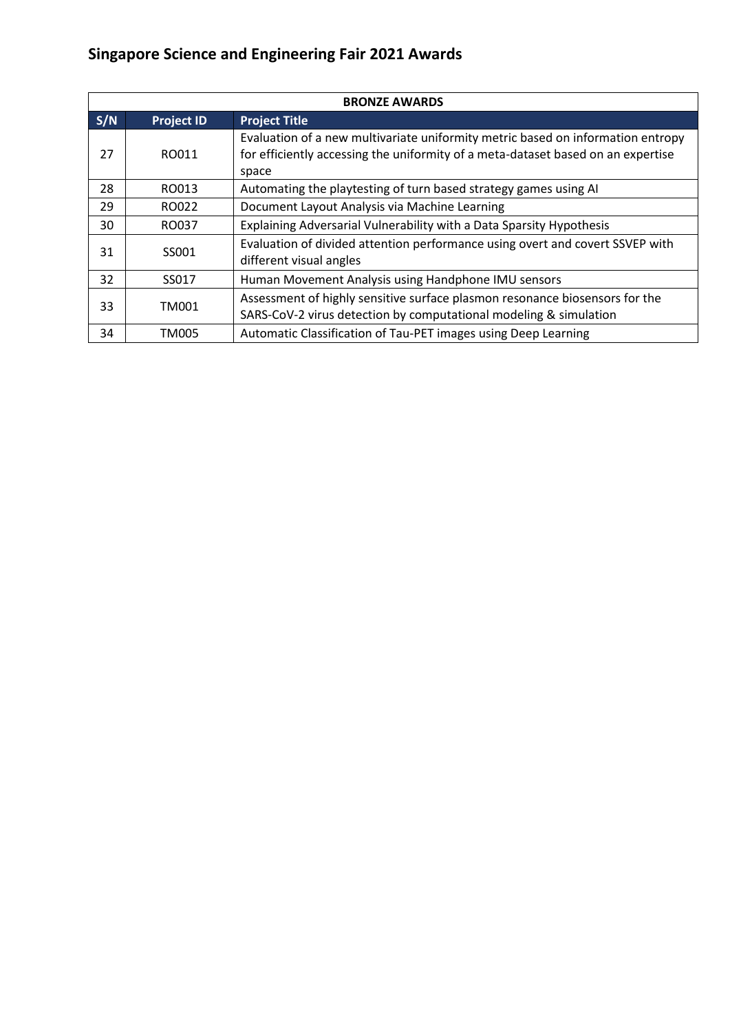| <b>BRONZE AWARDS</b> |                                                                                                                                                                  |                                                                                                                                                                              |  |  |
|----------------------|------------------------------------------------------------------------------------------------------------------------------------------------------------------|------------------------------------------------------------------------------------------------------------------------------------------------------------------------------|--|--|
| S/N                  | <b>Project Title</b><br><b>Project ID</b>                                                                                                                        |                                                                                                                                                                              |  |  |
| 27                   | RO011                                                                                                                                                            | Evaluation of a new multivariate uniformity metric based on information entropy<br>for efficiently accessing the uniformity of a meta-dataset based on an expertise<br>space |  |  |
| 28                   | RO013                                                                                                                                                            | Automating the playtesting of turn based strategy games using AI                                                                                                             |  |  |
| 29                   | RO022                                                                                                                                                            | Document Layout Analysis via Machine Learning                                                                                                                                |  |  |
| 30                   | RO037                                                                                                                                                            | Explaining Adversarial Vulnerability with a Data Sparsity Hypothesis                                                                                                         |  |  |
| 31                   | SS001                                                                                                                                                            | Evaluation of divided attention performance using overt and covert SSVEP with<br>different visual angles                                                                     |  |  |
| 32                   | SS017                                                                                                                                                            | Human Movement Analysis using Handphone IMU sensors                                                                                                                          |  |  |
| 33                   | Assessment of highly sensitive surface plasmon resonance biosensors for the<br><b>TM001</b><br>SARS-CoV-2 virus detection by computational modeling & simulation |                                                                                                                                                                              |  |  |
| 34                   | <b>TM005</b>                                                                                                                                                     | Automatic Classification of Tau-PET images using Deep Learning                                                                                                               |  |  |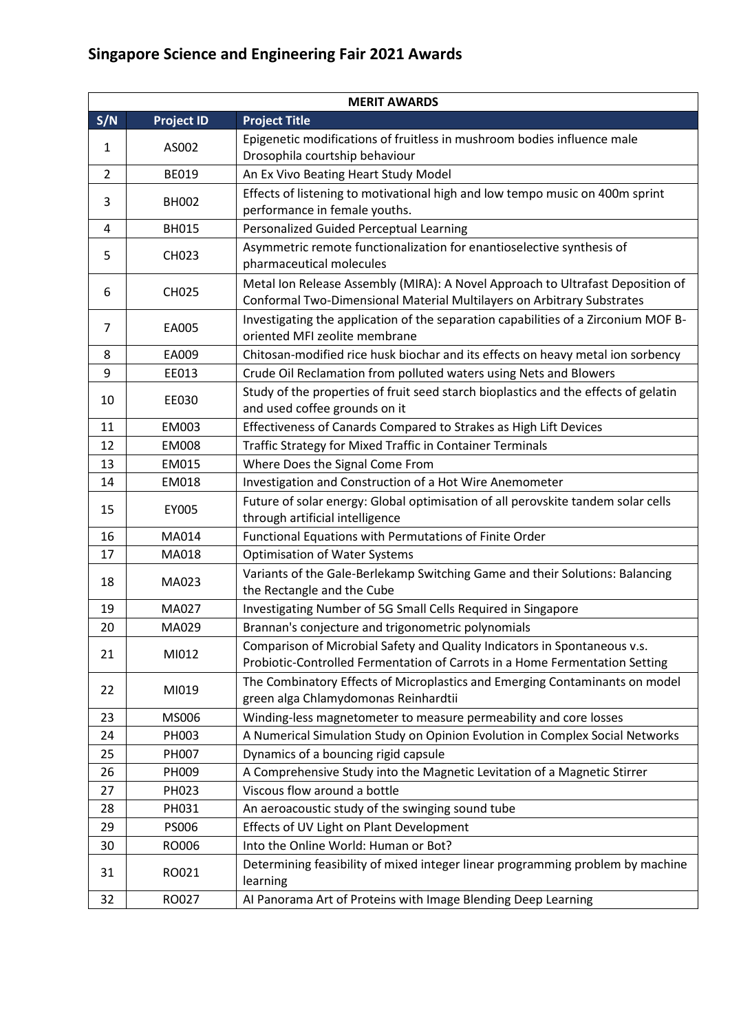|                | <b>MERIT AWARDS</b> |                                                                                                                                                          |  |  |
|----------------|---------------------|----------------------------------------------------------------------------------------------------------------------------------------------------------|--|--|
| S/N            | <b>Project ID</b>   | <b>Project Title</b>                                                                                                                                     |  |  |
| 1              | AS002               | Epigenetic modifications of fruitless in mushroom bodies influence male                                                                                  |  |  |
|                |                     | Drosophila courtship behaviour                                                                                                                           |  |  |
| $\overline{2}$ | <b>BE019</b>        | An Ex Vivo Beating Heart Study Model                                                                                                                     |  |  |
| 3              | <b>BH002</b>        | Effects of listening to motivational high and low tempo music on 400m sprint<br>performance in female youths.                                            |  |  |
| 4              | <b>BH015</b>        | Personalized Guided Perceptual Learning                                                                                                                  |  |  |
| 5              | CH023               | Asymmetric remote functionalization for enantioselective synthesis of<br>pharmaceutical molecules                                                        |  |  |
| 6              | <b>CH025</b>        | Metal Ion Release Assembly (MIRA): A Novel Approach to Ultrafast Deposition of<br>Conformal Two-Dimensional Material Multilayers on Arbitrary Substrates |  |  |
| 7              | EA005               | Investigating the application of the separation capabilities of a Zirconium MOF B-<br>oriented MFI zeolite membrane                                      |  |  |
| 8              | EA009               | Chitosan-modified rice husk biochar and its effects on heavy metal ion sorbency                                                                          |  |  |
| 9              | EE013               | Crude Oil Reclamation from polluted waters using Nets and Blowers                                                                                        |  |  |
| 10             | EE030               | Study of the properties of fruit seed starch bioplastics and the effects of gelatin<br>and used coffee grounds on it                                     |  |  |
| 11             | <b>EM003</b>        | Effectiveness of Canards Compared to Strakes as High Lift Devices                                                                                        |  |  |
| 12             | <b>EM008</b>        | Traffic Strategy for Mixed Traffic in Container Terminals                                                                                                |  |  |
| 13             | EM015               | Where Does the Signal Come From                                                                                                                          |  |  |
| 14             | EM018               | Investigation and Construction of a Hot Wire Anemometer                                                                                                  |  |  |
| 15             | EY005               | Future of solar energy: Global optimisation of all perovskite tandem solar cells<br>through artificial intelligence                                      |  |  |
| 16             | MA014               | Functional Equations with Permutations of Finite Order                                                                                                   |  |  |
| 17             | MA018               | <b>Optimisation of Water Systems</b>                                                                                                                     |  |  |
| 18             | MA023               | Variants of the Gale-Berlekamp Switching Game and their Solutions: Balancing<br>the Rectangle and the Cube                                               |  |  |
| 19             | MA027               | Investigating Number of 5G Small Cells Required in Singapore                                                                                             |  |  |
| 20             | MA029               | Brannan's conjecture and trigonometric polynomials                                                                                                       |  |  |
| 21             | MI012               | Comparison of Microbial Safety and Quality Indicators in Spontaneous v.s.<br>Probiotic-Controlled Fermentation of Carrots in a Home Fermentation Setting |  |  |
| 22             | MI019               | The Combinatory Effects of Microplastics and Emerging Contaminants on model<br>green alga Chlamydomonas Reinhardtii                                      |  |  |
| 23             | MS006               | Winding-less magnetometer to measure permeability and core losses                                                                                        |  |  |
| 24             | PH003               | A Numerical Simulation Study on Opinion Evolution in Complex Social Networks                                                                             |  |  |
| 25             | PH007               | Dynamics of a bouncing rigid capsule                                                                                                                     |  |  |
| 26             | PH009               | A Comprehensive Study into the Magnetic Levitation of a Magnetic Stirrer                                                                                 |  |  |
| 27             | PH023               | Viscous flow around a bottle                                                                                                                             |  |  |
| 28             | PH031               | An aeroacoustic study of the swinging sound tube                                                                                                         |  |  |
| 29             | <b>PS006</b>        | Effects of UV Light on Plant Development                                                                                                                 |  |  |
| 30             | RO006               | Into the Online World: Human or Bot?                                                                                                                     |  |  |
| 31             | RO021               | Determining feasibility of mixed integer linear programming problem by machine<br>learning                                                               |  |  |
| 32             | RO027               | Al Panorama Art of Proteins with Image Blending Deep Learning                                                                                            |  |  |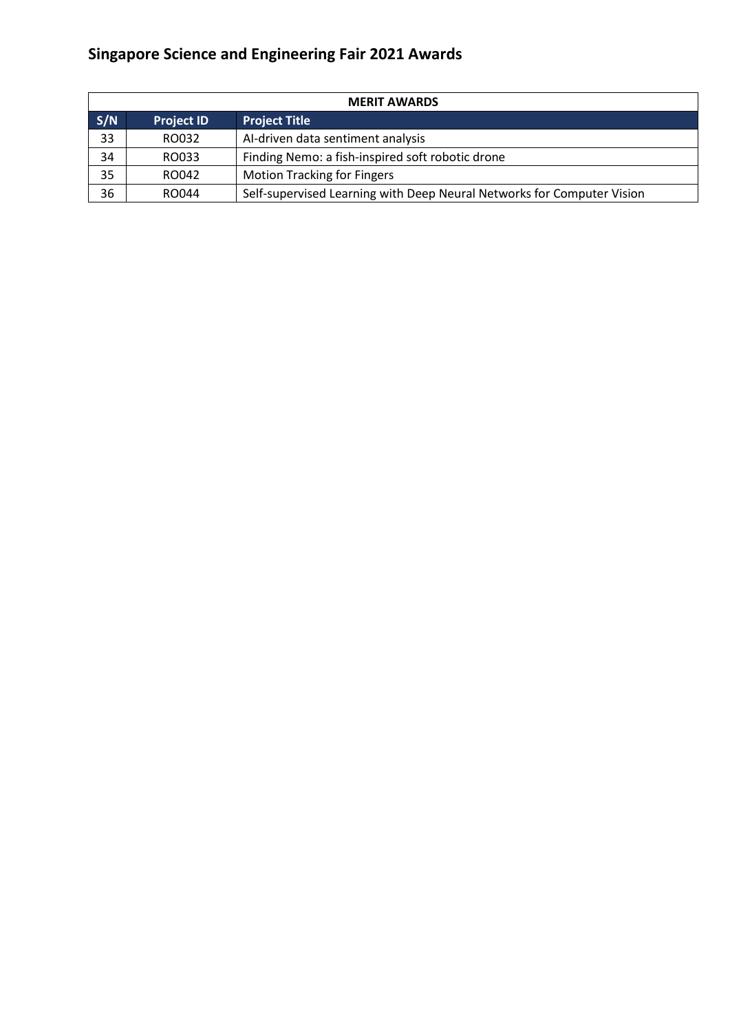| <b>MERIT AWARDS</b> |                                           |                                                                        |  |  |
|---------------------|-------------------------------------------|------------------------------------------------------------------------|--|--|
| S/N                 | <b>Project Title</b><br><b>Project ID</b> |                                                                        |  |  |
| 33                  | RO032                                     | AI-driven data sentiment analysis                                      |  |  |
| 34                  | RO033                                     | Finding Nemo: a fish-inspired soft robotic drone                       |  |  |
| 35                  | RO042                                     | <b>Motion Tracking for Fingers</b>                                     |  |  |
| 36                  | RO044                                     | Self-supervised Learning with Deep Neural Networks for Computer Vision |  |  |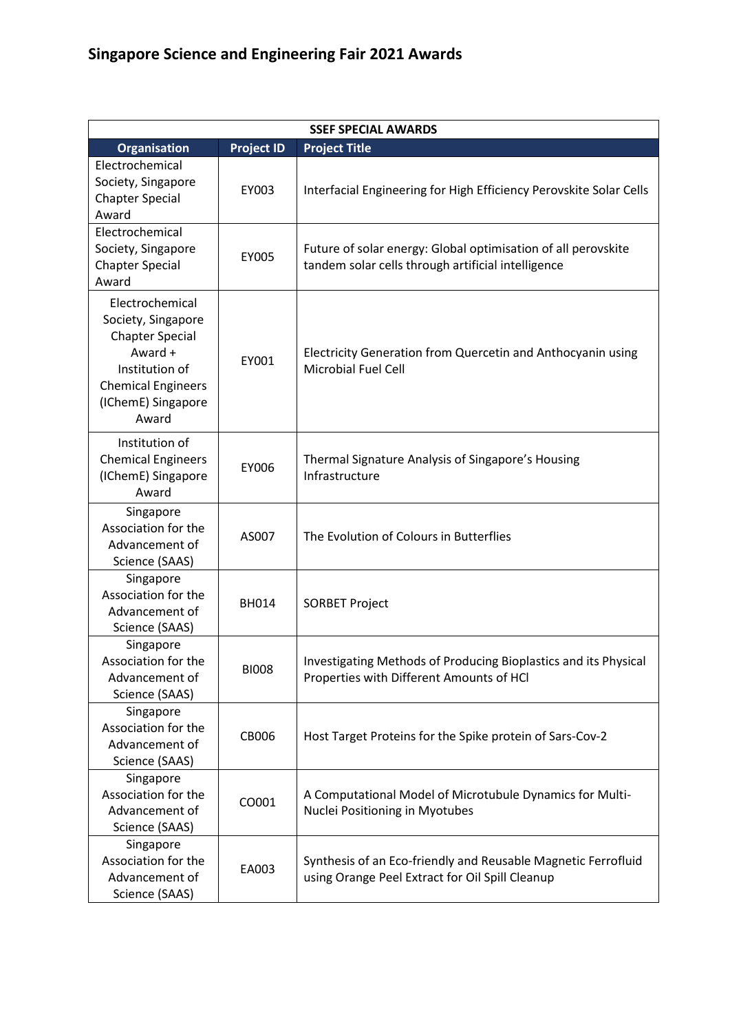| <b>SSEF SPECIAL AWARDS</b>                                                                                                                               |                   |                                                                                                                     |  |
|----------------------------------------------------------------------------------------------------------------------------------------------------------|-------------------|---------------------------------------------------------------------------------------------------------------------|--|
| <b>Organisation</b>                                                                                                                                      | <b>Project ID</b> | <b>Project Title</b>                                                                                                |  |
| Electrochemical<br>Society, Singapore<br><b>Chapter Special</b><br>Award                                                                                 | EY003             | Interfacial Engineering for High Efficiency Perovskite Solar Cells                                                  |  |
| Electrochemical<br>Society, Singapore<br><b>Chapter Special</b><br>Award                                                                                 | EY005             | Future of solar energy: Global optimisation of all perovskite<br>tandem solar cells through artificial intelligence |  |
| Electrochemical<br>Society, Singapore<br><b>Chapter Special</b><br>Award +<br>Institution of<br><b>Chemical Engineers</b><br>(IChemE) Singapore<br>Award | EY001             | Electricity Generation from Quercetin and Anthocyanin using<br><b>Microbial Fuel Cell</b>                           |  |
| Institution of<br><b>Chemical Engineers</b><br>(IChemE) Singapore<br>Award                                                                               | EY006             | Thermal Signature Analysis of Singapore's Housing<br>Infrastructure                                                 |  |
| Singapore<br>Association for the<br>Advancement of<br>Science (SAAS)                                                                                     | AS007             | The Evolution of Colours in Butterflies                                                                             |  |
| Singapore<br>Association for the<br>Advancement of<br>Science (SAAS)                                                                                     | <b>BH014</b>      | <b>SORBET Project</b>                                                                                               |  |
| Singapore<br>Association for the<br>Advancement of<br>Science (SAAS)                                                                                     | <b>BIOO8</b>      | Investigating Methods of Producing Bioplastics and its Physical<br>Properties with Different Amounts of HCl         |  |
| Singapore<br>Association for the<br>Advancement of<br>Science (SAAS)                                                                                     | CB006             | Host Target Proteins for the Spike protein of Sars-Cov-2                                                            |  |
| Singapore<br>Association for the<br>Advancement of<br>Science (SAAS)                                                                                     | CO001             | A Computational Model of Microtubule Dynamics for Multi-<br>Nuclei Positioning in Myotubes                          |  |
| Singapore<br>Association for the<br>Advancement of<br>Science (SAAS)                                                                                     | EA003             | Synthesis of an Eco-friendly and Reusable Magnetic Ferrofluid<br>using Orange Peel Extract for Oil Spill Cleanup    |  |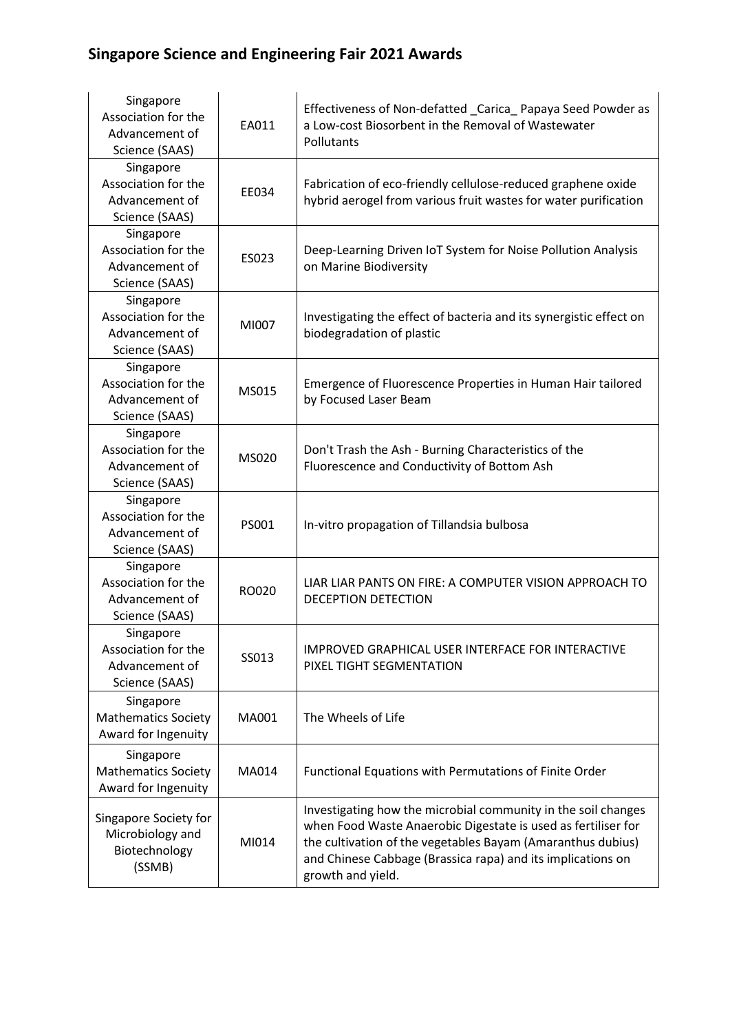| Singapore<br>Association for the<br>Advancement of<br>Science (SAAS) | EA011 | Effectiveness of Non-defatted _Carica_Papaya Seed Powder as<br>a Low-cost Biosorbent in the Removal of Wastewater<br>Pollutants                                                                                                                                                   |
|----------------------------------------------------------------------|-------|-----------------------------------------------------------------------------------------------------------------------------------------------------------------------------------------------------------------------------------------------------------------------------------|
| Singapore<br>Association for the<br>Advancement of<br>Science (SAAS) | EE034 | Fabrication of eco-friendly cellulose-reduced graphene oxide<br>hybrid aerogel from various fruit wastes for water purification                                                                                                                                                   |
| Singapore<br>Association for the<br>Advancement of<br>Science (SAAS) | ES023 | Deep-Learning Driven IoT System for Noise Pollution Analysis<br>on Marine Biodiversity                                                                                                                                                                                            |
| Singapore<br>Association for the<br>Advancement of<br>Science (SAAS) | MI007 | Investigating the effect of bacteria and its synergistic effect on<br>biodegradation of plastic                                                                                                                                                                                   |
| Singapore<br>Association for the<br>Advancement of<br>Science (SAAS) | MS015 | Emergence of Fluorescence Properties in Human Hair tailored<br>by Focused Laser Beam                                                                                                                                                                                              |
| Singapore<br>Association for the<br>Advancement of<br>Science (SAAS) | MS020 | Don't Trash the Ash - Burning Characteristics of the<br>Fluorescence and Conductivity of Bottom Ash                                                                                                                                                                               |
| Singapore<br>Association for the<br>Advancement of<br>Science (SAAS) | PS001 | In-vitro propagation of Tillandsia bulbosa                                                                                                                                                                                                                                        |
| Singapore<br>Association for the<br>Advancement of<br>Science (SAAS) | RO020 | LIAR LIAR PANTS ON FIRE: A COMPUTER VISION APPROACH TO<br><b>DECEPTION DETECTION</b>                                                                                                                                                                                              |
| Singapore<br>Association for the<br>Advancement of<br>Science (SAAS) | SS013 | IMPROVED GRAPHICAL USER INTERFACE FOR INTERACTIVE<br>PIXEL TIGHT SEGMENTATION                                                                                                                                                                                                     |
| Singapore<br><b>Mathematics Society</b><br>Award for Ingenuity       | MA001 | The Wheels of Life                                                                                                                                                                                                                                                                |
| Singapore<br><b>Mathematics Society</b><br>Award for Ingenuity       | MA014 | Functional Equations with Permutations of Finite Order                                                                                                                                                                                                                            |
| Singapore Society for<br>Microbiology and<br>Biotechnology<br>(SSMB) | MI014 | Investigating how the microbial community in the soil changes<br>when Food Waste Anaerobic Digestate is used as fertiliser for<br>the cultivation of the vegetables Bayam (Amaranthus dubius)<br>and Chinese Cabbage (Brassica rapa) and its implications on<br>growth and yield. |